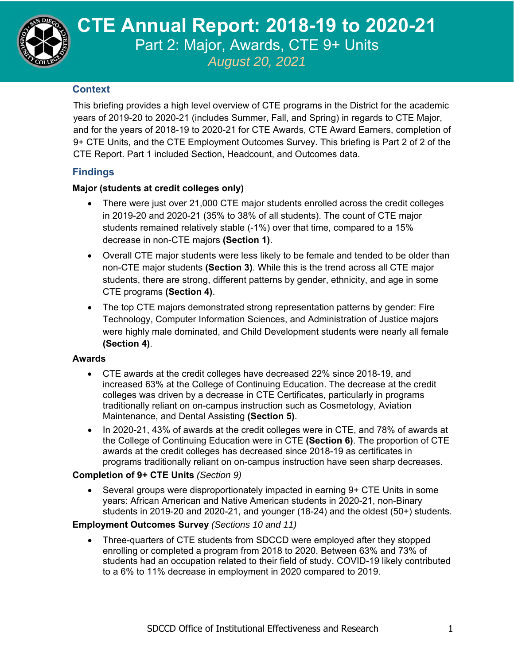

**CTE Annual Report, 2021 CTE Annual Report: 2018-19 to 2020-21**  Part 2: Major, Awards, CTE 9+ Units *August 20, 2021*

### **Context**

This briefing provides a high level overview of CTE programs in the District for the academic years of 2019-20 to 2020-21 (includes Summer, Fall, and Spring) in regards to CTE Major, and for the years of 2018-19 to 2020-21 for CTE Awards, CTE Award Earners, completion of 9+ CTE Units, and the CTE Employment Outcomes Survey. This briefing is Part 2 of 2 of the CTE Report. Part 1 included Section, Headcount, and Outcomes data.

# **Findings**

### **Major (students at credit colleges only)**

- There were just over 21,000 CTE major students enrolled across the credit colleges in 2019-20 and 2020-21 (35% to 38% of all students). The count of CTE major students remained relatively stable (-1%) over that time, compared to a 15% decrease in non-CTE majors **(Section 1)**.
- Overall CTE major students were less likely to be female and tended to be older than non-CTE major students **(Section 3)**. While this is the trend across all CTE major students, there are strong, different patterns by gender, ethnicity, and age in some CTE programs **(Section 4)**.
- The top CTE majors demonstrated strong representation patterns by gender: Fire Technology, Computer Information Sciences, and Administration of Justice majors were highly male dominated, and Child Development students were nearly all female **(Section 4)**.

### **Awards**

- CTE awards at the credit colleges have decreased 22% since 2018-19, and increased 63% at the College of Continuing Education. The decrease at the credit colleges was driven by a decrease in CTE Certificates, particularly in programs traditionally reliant on on-campus instruction such as Cosmetology, Aviation Maintenance, and Dental Assisting **(Section 5)**.
- In 2020-21, 43% of awards at the credit colleges were in CTE, and 78% of awards at the College of Continuing Education were in CTE **(Section 6)**. The proportion of CTE awards at the credit colleges has decreased since 2018-19 as certificates in programs traditionally reliant on on-campus instruction have seen sharp decreases.

### **Completion of 9+ CTE Units** *(Section 9)*

 Several groups were disproportionately impacted in earning 9+ CTE Units in some years: African American and Native American students in 2020-21, non-Binary students in 2019-20 and 2020-21, and younger (18-24) and the oldest (50+) students.

### **Employment Outcomes Survey** *(Sections 10 and 11)*

 Three-quarters of CTE students from SDCCD were employed after they stopped enrolling or completed a program from 2018 to 2020. Between 63% and 73% of students had an occupation related to their field of study. COVID-19 likely contributed to a 6% to 11% decrease in employment in 2020 compared to 2019.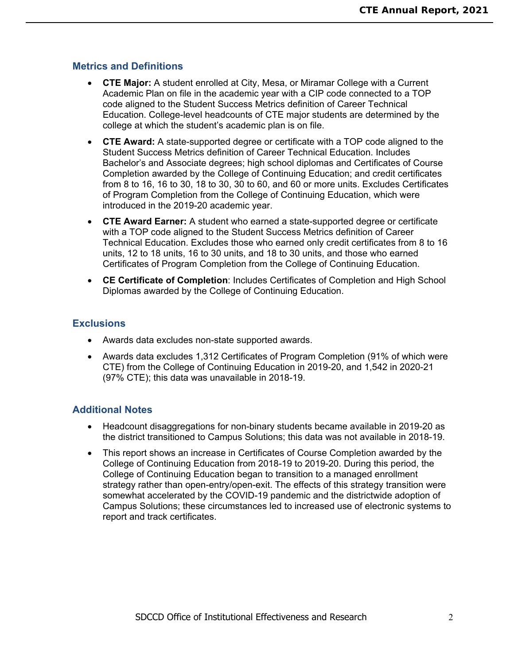### **Metrics and Definitions**

- **CTE Major:** A student enrolled at City, Mesa, or Miramar College with a Current Academic Plan on file in the academic year with a CIP code connected to a TOP code aligned to the Student Success Metrics definition of Career Technical Education. College-level headcounts of CTE major students are determined by the college at which the student's academic plan is on file.
- **CTE Award:** A state-supported degree or certificate with a TOP code aligned to the Student Success Metrics definition of Career Technical Education. Includes Bachelor's and Associate degrees; high school diplomas and Certificates of Course Completion awarded by the College of Continuing Education; and credit certificates from 8 to 16, 16 to 30, 18 to 30, 30 to 60, and 60 or more units. Excludes Certificates of Program Completion from the College of Continuing Education, which were introduced in the 2019-20 academic year.
- **CTE Award Earner:** A student who earned a state-supported degree or certificate with a TOP code aligned to the Student Success Metrics definition of Career Technical Education. Excludes those who earned only credit certificates from 8 to 16 units, 12 to 18 units, 16 to 30 units, and 18 to 30 units, and those who earned Certificates of Program Completion from the College of Continuing Education.
- **CE Certificate of Completion**: Includes Certificates of Completion and High School Diplomas awarded by the College of Continuing Education.

### **Exclusions**

- Awards data excludes non-state supported awards.
- Awards data excludes 1,312 Certificates of Program Completion (91% of which were CTE) from the College of Continuing Education in 2019-20, and 1,542 in 2020-21 (97% CTE); this data was unavailable in 2018-19.

### **Additional Notes**

- Headcount disaggregations for non-binary students became available in 2019-20 as the district transitioned to Campus Solutions; this data was not available in 2018-19.
- This report shows an increase in Certificates of Course Completion awarded by the College of Continuing Education from 2018-19 to 2019-20. During this period, the College of Continuing Education began to transition to a managed enrollment strategy rather than open-entry/open-exit. The effects of this strategy transition were somewhat accelerated by the COVID-19 pandemic and the districtwide adoption of Campus Solutions; these circumstances led to increased use of electronic systems to report and track certificates.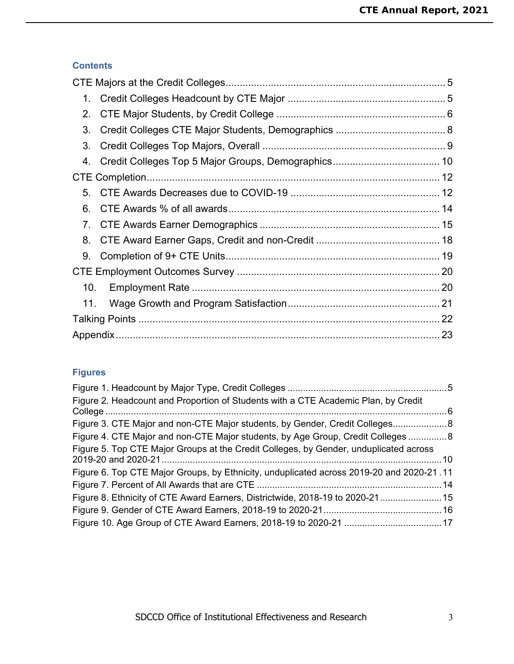# **Contents**

| 1.  |  |
|-----|--|
| 2.  |  |
| 3.  |  |
| 3.  |  |
|     |  |
|     |  |
| 5.  |  |
| 6.  |  |
|     |  |
| 8.  |  |
| 9.  |  |
|     |  |
| 10. |  |
| 11. |  |
|     |  |
|     |  |

# **Figures**

| Figure 2. Headcount and Proportion of Students with a CTE Academic Plan, by Credit       |  |
|------------------------------------------------------------------------------------------|--|
| Figure 3. CTE Major and non-CTE Major students, by Gender, Credit Colleges8              |  |
| Figure 4. CTE Major and non-CTE Major students, by Age Group, Credit Colleges  8         |  |
| Figure 5. Top CTE Major Groups at the Credit Colleges, by Gender, unduplicated across    |  |
| Figure 6. Top CTE Major Groups, by Ethnicity, unduplicated across 2019-20 and 2020-21.11 |  |
|                                                                                          |  |
| Figure 8. Ethnicity of CTE Award Earners, Districtwide, 2018-19 to 2020-21 15            |  |
|                                                                                          |  |
|                                                                                          |  |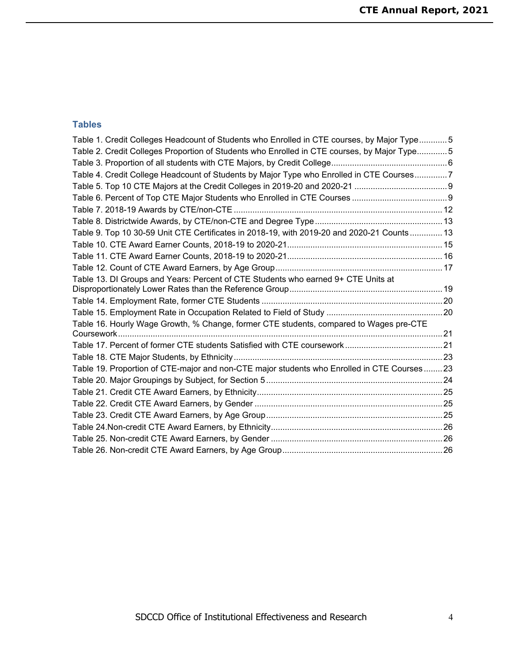### **Tables**

| Table 1. Credit Colleges Headcount of Students who Enrolled in CTE courses, by Major Type5  |  |
|---------------------------------------------------------------------------------------------|--|
| Table 2. Credit Colleges Proportion of Students who Enrolled in CTE courses, by Major Type5 |  |
|                                                                                             |  |
| Table 4. Credit College Headcount of Students by Major Type who Enrolled in CTE Courses7    |  |
|                                                                                             |  |
|                                                                                             |  |
|                                                                                             |  |
|                                                                                             |  |
| Table 9. Top 10 30-59 Unit CTE Certificates in 2018-19, with 2019-20 and 2020-21 Counts 13  |  |
|                                                                                             |  |
|                                                                                             |  |
|                                                                                             |  |
| Table 13. DI Groups and Years: Percent of CTE Students who earned 9+ CTE Units at           |  |
|                                                                                             |  |
|                                                                                             |  |
|                                                                                             |  |
| Table 16. Hourly Wage Growth, % Change, former CTE students, compared to Wages pre-CTE      |  |
|                                                                                             |  |
|                                                                                             |  |
| Table 19. Proportion of CTE-major and non-CTE major students who Enrolled in CTE Courses23  |  |
|                                                                                             |  |
|                                                                                             |  |
|                                                                                             |  |
|                                                                                             |  |
|                                                                                             |  |
|                                                                                             |  |
|                                                                                             |  |
|                                                                                             |  |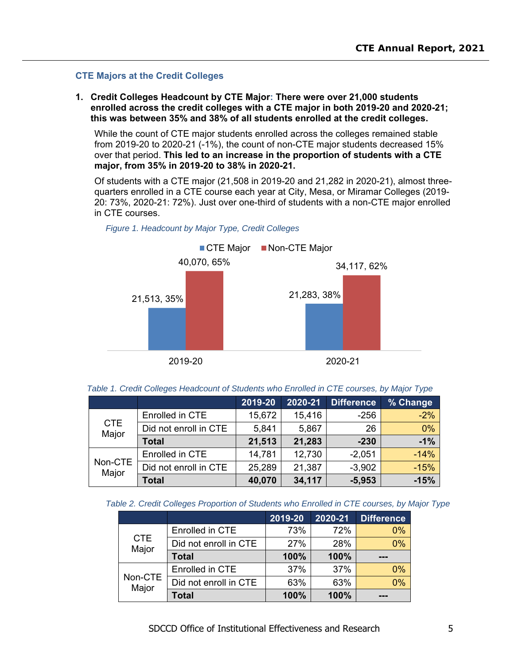#### **CTE Majors at the Credit Colleges**

**1. Credit Colleges Headcount by CTE Major: There were over 21,000 students enrolled across the credit colleges with a CTE major in both 2019-20 and 2020-21; this was between 35% and 38% of all students enrolled at the credit colleges.** 

While the count of CTE major students enrolled across the colleges remained stable from 2019-20 to 2020-21 (-1%), the count of non-CTE major students decreased 15% over that period. **This led to an increase in the proportion of students with a CTE major, from 35% in 2019-20 to 38% in 2020-21.** 

Of students with a CTE major (21,508 in 2019-20 and 21,282 in 2020-21), almost threequarters enrolled in a CTE course each year at City, Mesa, or Miramar Colleges (2019- 20: 73%, 2020-21: 72%). Just over one-third of students with a non-CTE major enrolled in CTE courses.





*Table 1. Credit Colleges Headcount of Students who Enrolled in CTE courses, by Major Type* 

|                     |                       | 2019-20 | 2020-21 | <b>Difference</b> | % Change |
|---------------------|-----------------------|---------|---------|-------------------|----------|
|                     | Enrolled in CTE       | 15,672  | 15,416  | $-256$            | $-2%$    |
| <b>CTE</b><br>Major | Did not enroll in CTE | 5,841   | 5,867   | 26                | 0%       |
|                     | <b>Total</b>          | 21,513  | 21,283  | $-230$            | $-1%$    |
|                     | Enrolled in CTE       | 14,781  | 12,730  | $-2,051$          | $-14%$   |
| Non-CTE<br>Major    | Did not enroll in CTE | 25,289  | 21,387  | $-3,902$          | $-15%$   |
|                     | <b>Total</b>          | 40,070  | 34,117  | $-5,953$          | $-15%$   |

|  |  |  |  |  | Table 2. Credit Colleges Proportion of Students who Enrolled in CTE courses, by Major Type |
|--|--|--|--|--|--------------------------------------------------------------------------------------------|
|--|--|--|--|--|--------------------------------------------------------------------------------------------|

|                     |                       | 2019-20 | 2020-21 | <b>Difference</b> |
|---------------------|-----------------------|---------|---------|-------------------|
|                     | Enrolled in CTE       | 73%     | 72%     | $0\%$             |
| <b>CTE</b><br>Major | Did not enroll in CTE | 27%     | 28%     | 0%                |
|                     | <b>Total</b>          | 100%    | 100%    |                   |
|                     | Enrolled in CTE       | 37%     | 37%     | 0%                |
| Non-CTE<br>Major    | Did not enroll in CTE | 63%     | 63%     | 0%                |
|                     | Total                 | 100%    | 100%    |                   |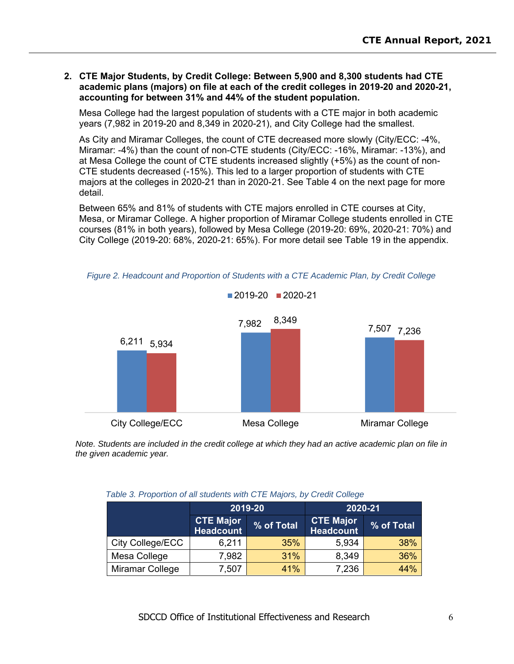#### **2. CTE Major Students, by Credit College: Between 5,900 and 8,300 students had CTE academic plans (majors) on file at each of the credit colleges in 2019-20 and 2020-21, accounting for between 31% and 44% of the student population.**

Mesa College had the largest population of students with a CTE major in both academic years (7,982 in 2019-20 and 8,349 in 2020-21), and City College had the smallest.

As City and Miramar Colleges, the count of CTE decreased more slowly (City/ECC: -4%, Miramar: -4%) than the count of non-CTE students (City/ECC: -16%, Miramar: -13%), and at Mesa College the count of CTE students increased slightly (+5%) as the count of non-CTE students decreased (-15%). This led to a larger proportion of students with CTE majors at the colleges in 2020-21 than in 2020-21. See Table 4 on the next page for more detail.

Between 65% and 81% of students with CTE majors enrolled in CTE courses at City, Mesa, or Miramar College. A higher proportion of Miramar College students enrolled in CTE courses (81% in both years), followed by Mesa College (2019-20: 69%, 2020-21: 70%) and City College (2019-20: 68%, 2020-21: 65%). For more detail see Table 19 in the appendix.



*Figure 2. Headcount and Proportion of Students with a CTE Academic Plan, by Credit College* 

*Note. Students are included in the credit college at which they had an active academic plan on file in the given academic year.* 

|  |  | Table 3. Proportion of all students with CTE Majors, by Credit College |
|--|--|------------------------------------------------------------------------|
|  |  |                                                                        |

|                  |                                      | 2019-20    | 2020-21                              |            |  |
|------------------|--------------------------------------|------------|--------------------------------------|------------|--|
|                  | <b>CTE Major</b><br><b>Headcount</b> | % of Total | <b>CTE Major</b><br><b>Headcount</b> | % of Total |  |
| City College/ECC | 6,211                                | 35%        | 5,934                                | 38%        |  |
| Mesa College     | 7,982                                | 31%        | 8,349                                | 36%        |  |
| Miramar College  | 7,507                                | 41%        | 7,236                                | 44%        |  |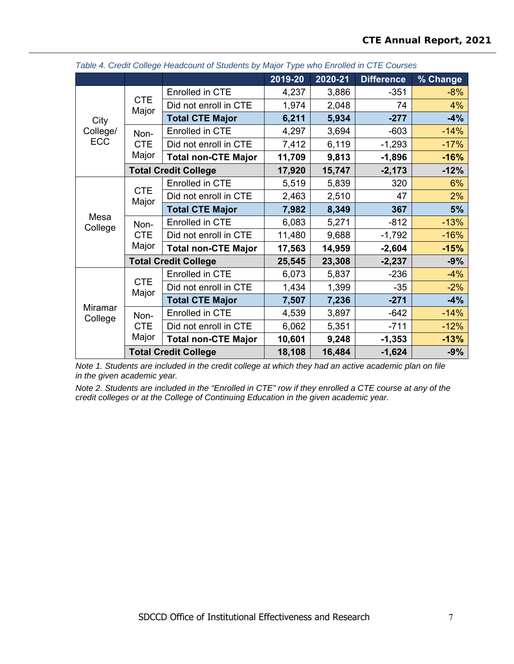|                    |                             | more complete cause and or other and with the more than the set of the set of the set of the set of the set of | 2019-20 | 2020-21 | <b>Difference</b> | % Change     |
|--------------------|-----------------------------|----------------------------------------------------------------------------------------------------------------|---------|---------|-------------------|--------------|
|                    |                             | <b>Enrolled in CTE</b>                                                                                         | 4,237   | 3,886   | $-351$            | $-8%$        |
|                    | <b>CTE</b>                  | Did not enroll in CTE                                                                                          | 1,974   | 2,048   | 74                | 4%           |
| City               | Major                       | <b>Total CTE Major</b>                                                                                         | 6,211   | 5,934   | $-277$            | $-4%$        |
| College/           | Non-                        | Enrolled in CTE                                                                                                | 4,297   | 3,694   | $-603$            | $-14%$       |
| <b>ECC</b>         | <b>CTE</b>                  | Did not enroll in CTE                                                                                          | 7,412   | 6,119   | $-1,293$          | $-17%$       |
|                    | Major                       | <b>Total non-CTE Major</b>                                                                                     | 11,709  | 9,813   | $-1,896$          | $-16%$       |
|                    |                             | <b>Total Credit College</b>                                                                                    | 17,920  | 15,747  | $-2,173$          | $-12%$       |
|                    |                             | Enrolled in CTE                                                                                                | 5,519   | 5,839   | 320               | 6%           |
|                    | <b>CTE</b><br>Major         | Did not enroll in CTE                                                                                          | 2,463   | 2,510   | 47                | 2%           |
|                    |                             | <b>Total CTE Major</b>                                                                                         | 7,982   | 8,349   | 367               | 5%<br>$-13%$ |
| Mesa<br>College    | Non-<br><b>CTE</b><br>Major | Enrolled in CTE                                                                                                | 6,083   | 5,271   | $-812$            |              |
|                    |                             | Did not enroll in CTE                                                                                          | 11,480  | 9,688   | $-1,792$          | $-16%$       |
|                    |                             | <b>Total non-CTE Major</b>                                                                                     | 17,563  | 14,959  | $-2,604$          | $-15%$       |
|                    |                             | <b>Total Credit College</b>                                                                                    | 25,545  | 23,308  | $-2,237$          | $-9%$        |
|                    |                             | <b>Enrolled in CTE</b>                                                                                         | 6,073   | 5,837   | $-236$            | $-4%$        |
|                    | <b>CTE</b><br>Major         | Did not enroll in CTE                                                                                          | 1,434   | 1,399   | $-35$             | $-2%$        |
|                    |                             | <b>Total CTE Major</b>                                                                                         | 7,507   | 7,236   | $-271$            | $-4%$        |
| Miramar<br>College | Non-                        | <b>Enrolled in CTE</b>                                                                                         | 4,539   | 3,897   | $-642$            | $-14%$       |
|                    | <b>CTE</b>                  | Did not enroll in CTE                                                                                          | 6,062   | 5,351   | $-711$            | $-12%$       |
|                    | Major                       | <b>Total non-CTE Major</b>                                                                                     | 10,601  | 9,248   | $-1,353$          | $-13%$       |
|                    |                             | <b>Total Credit College</b>                                                                                    | 18,108  | 16,484  | $-1,624$          | $-9%$        |

*Table 4. Credit College Headcount of Students by Major Type who Enrolled in CTE Courses* 

*Note 1. Students are included in the credit college at which they had an active academic plan on file in the given academic year.* 

*Note 2. Students are included in the "Enrolled in CTE" row if they enrolled a CTE course at any of the credit colleges or at the College of Continuing Education in the given academic year.*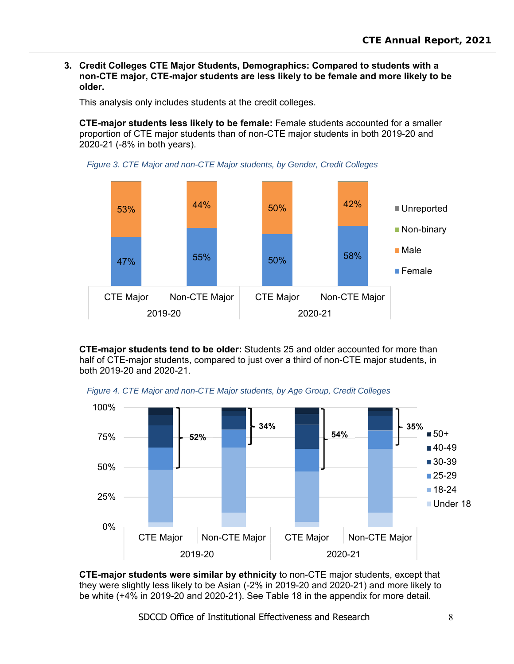**3. Credit Colleges CTE Major Students, Demographics: Compared to students with a non-CTE major, CTE-major students are less likely to be female and more likely to be older.** 

This analysis only includes students at the credit colleges.

**CTE-major students less likely to be female:** Female students accounted for a smaller proportion of CTE major students than of non-CTE major students in both 2019-20 and 2020-21 (-8% in both years).





**CTE-major students tend to be older:** Students 25 and older accounted for more than half of CTE-major students, compared to just over a third of non-CTE major students, in both 2019-20 and 2020-21.

*Figure 4. CTE Major and non-CTE Major students, by Age Group, Credit Colleges* 



**CTE-major students were similar by ethnicity** to non-CTE major students, except that they were slightly less likely to be Asian (-2% in 2019-20 and 2020-21) and more likely to be white (+4% in 2019-20 and 2020-21). See Table 18 in the appendix for more detail.

SDCCD Office of Institutional Effectiveness and Research 8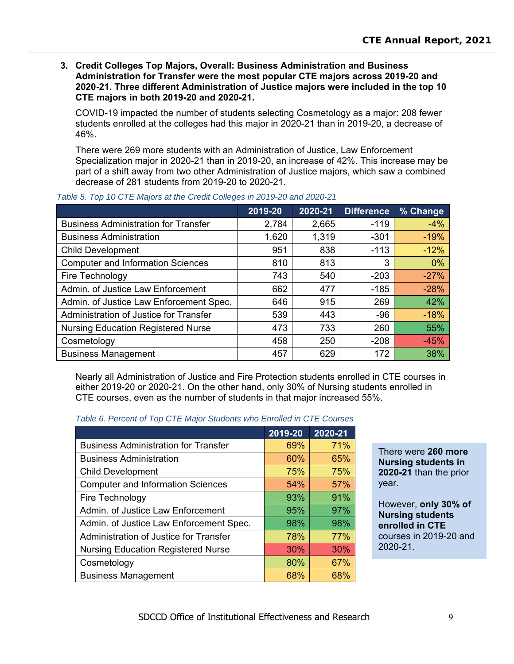**3. Credit Colleges Top Majors, Overall: Business Administration and Business Administration for Transfer were the most popular CTE majors across 2019-20 and 2020-21. Three different Administration of Justice majors were included in the top 10 CTE majors in both 2019-20 and 2020-21.**

COVID-19 impacted the number of students selecting Cosmetology as a major: 208 fewer students enrolled at the colleges had this major in 2020-21 than in 2019-20, a decrease of 46%.

There were 269 more students with an Administration of Justice, Law Enforcement Specialization major in 2020-21 than in 2019-20, an increase of 42%. This increase may be part of a shift away from two other Administration of Justice majors, which saw a combined decrease of 281 students from 2019-20 to 2020-21.

|                                             | 2019-20 | 2020-21 | <b>Difference</b> | % Change |
|---------------------------------------------|---------|---------|-------------------|----------|
| <b>Business Administration for Transfer</b> | 2,784   | 2,665   | $-119$            | $-4%$    |
| <b>Business Administration</b>              | 1,620   | 1,319   | $-301$            | $-19%$   |
| <b>Child Development</b>                    | 951     | 838     | $-113$            | $-12%$   |
| <b>Computer and Information Sciences</b>    | 810     | 813     | 3                 | 0%       |
| Fire Technology                             | 743     | 540     | $-203$            | $-27%$   |
| Admin. of Justice Law Enforcement           | 662     | 477     | $-185$            | $-28%$   |
| Admin. of Justice Law Enforcement Spec.     | 646     | 915     | 269               | 42%      |
| Administration of Justice for Transfer      | 539     | 443     | $-96$             | $-18%$   |
| <b>Nursing Education Registered Nurse</b>   | 473     | 733     | 260               | 55%      |
| Cosmetology                                 | 458     | 250     | $-208$            | $-45%$   |
| <b>Business Management</b>                  | 457     | 629     | 172               | 38%      |

#### *Table 5. Top 10 CTE Majors at the Credit Colleges in 2019-20 and 2020-21*

Nearly all Administration of Justice and Fire Protection students enrolled in CTE courses in either 2019-20 or 2020-21. On the other hand, only 30% of Nursing students enrolled in CTE courses, even as the number of students in that major increased 55%.

|  | Table 6. Percent of Top CTE Major Students who Enrolled in CTE Courses |
|--|------------------------------------------------------------------------|
|  |                                                                        |

|                                             | 2019-20 | 2020-21 |
|---------------------------------------------|---------|---------|
| <b>Business Administration for Transfer</b> | 69%     | 71%     |
| <b>Business Administration</b>              | 60%     | 65%     |
| <b>Child Development</b>                    | 75%     | 75%     |
| <b>Computer and Information Sciences</b>    | 54%     | 57%     |
| Fire Technology                             | 93%     | 91%     |
| Admin. of Justice Law Enforcement           | 95%     | 97%     |
| Admin. of Justice Law Enforcement Spec.     | 98%     | 98%     |
| Administration of Justice for Transfer      | 78%     | 77%     |
| <b>Nursing Education Registered Nurse</b>   | 30%     | 30%     |
| Cosmetology                                 | 80%     | 67%     |
| <b>Business Management</b>                  | 68%     | 68%     |

#### There were **260 more Nursing students in 2020-21** than the prior year.

However, **only 30% of Nursing students enrolled in CTE** courses in 2019-20 and 2020-21.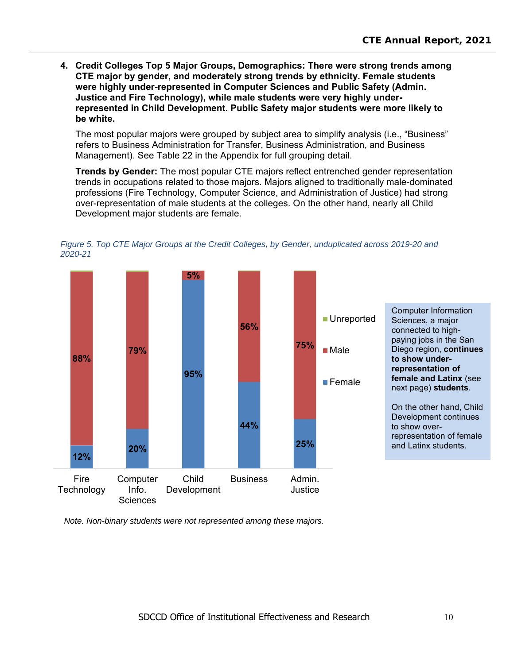**4. Credit Colleges Top 5 Major Groups, Demographics: There were strong trends among CTE major by gender, and moderately strong trends by ethnicity. Female students were highly under-represented in Computer Sciences and Public Safety (Admin. Justice and Fire Technology), while male students were very highly underrepresented in Child Development. Public Safety major students were more likely to be white.** 

The most popular majors were grouped by subject area to simplify analysis (i.e., "Business" refers to Business Administration for Transfer, Business Administration, and Business Management). See Table 22 in the Appendix for full grouping detail.

**Trends by Gender:** The most popular CTE majors reflect entrenched gender representation trends in occupations related to those majors. Majors aligned to traditionally male-dominated professions (Fire Technology, Computer Science, and Administration of Justice) had strong over-representation of male students at the colleges. On the other hand, nearly all Child Development major students are female.





*Note. Non-binary students were not represented among these majors.*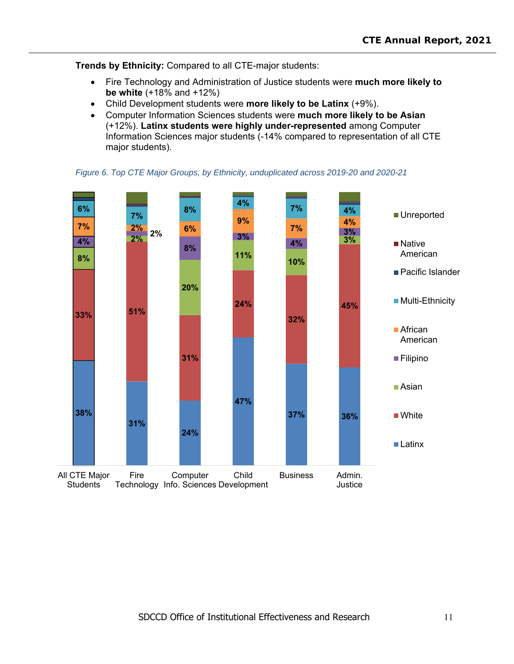**Trends by Ethnicity:** Compared to all CTE-major students:

- Fire Technology and Administration of Justice students were **much more likely to be white** (+18% and +12%)
- Child Development students were **more likely to be Latinx** (+9%).
- Computer Information Sciences students were **much more likely to be Asian** (+12%). **Latinx students were highly under-represented** among Computer Information Sciences major students (-14% compared to representation of all CTE major students).



*Figure 6. Top CTE Major Groups, by Ethnicity, unduplicated across 2019-20 and 2020-21*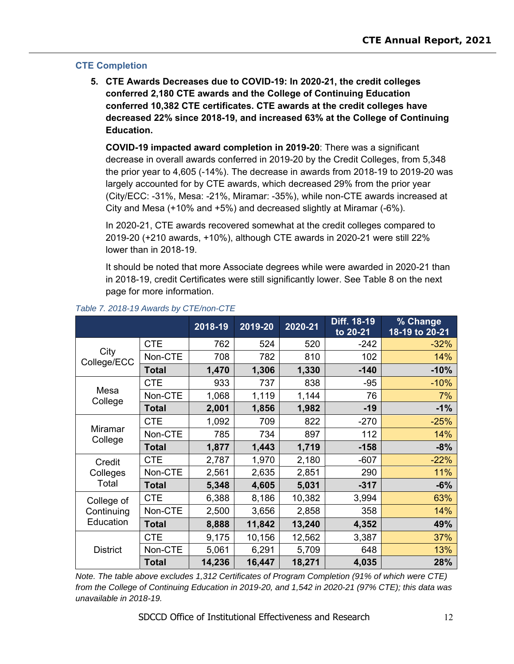### **CTE Completion**

**5. CTE Awards Decreases due to COVID-19: In 2020-21, the credit colleges conferred 2,180 CTE awards and the College of Continuing Education conferred 10,382 CTE certificates. CTE awards at the credit colleges have decreased 22% since 2018-19, and increased 63% at the College of Continuing Education.** 

**COVID-19 impacted award completion in 2019-20**: There was a significant decrease in overall awards conferred in 2019-20 by the Credit Colleges, from 5,348 the prior year to 4,605 (-14%). The decrease in awards from 2018-19 to 2019-20 was largely accounted for by CTE awards, which decreased 29% from the prior year (City/ECC: -31%, Mesa: -21%, Miramar: -35%), while non-CTE awards increased at City and Mesa (+10% and +5%) and decreased slightly at Miramar (-6%).

In 2020-21, CTE awards recovered somewhat at the credit colleges compared to 2019-20 (+210 awards, +10%), although CTE awards in 2020-21 were still 22% lower than in 2018-19.

It should be noted that more Associate degrees while were awarded in 2020-21 than in 2018-19, credit Certificates were still significantly lower. See Table 8 on the next page for more information.

|                     |              | 2018-19 | $2019 - 20$ | 2020-21 | Diff. 18-19<br>to 20-21 | % Change<br>18-19 to 20-21 |
|---------------------|--------------|---------|-------------|---------|-------------------------|----------------------------|
|                     | <b>CTE</b>   | 762     | 524         | 520     | $-242$                  | $-32%$                     |
| City<br>College/ECC | Non-CTE      | 708     | 782         | 810     | 102                     | 14%                        |
|                     | <b>Total</b> | 1,470   | 1,306       | 1,330   | $-140$                  | $-10%$                     |
|                     | <b>CTE</b>   | 933     | 737         | 838     | $-95$                   | $-10%$                     |
| Mesa<br>College     | Non-CTE      | 1,068   | 1,119       | 1,144   | 76                      | 7%                         |
|                     | <b>Total</b> | 2,001   | 1,856       | 1,982   | $-19$                   | $-1%$                      |
|                     | <b>CTE</b>   | 1,092   | 709         | 822     | $-270$                  | $-25%$                     |
| Miramar<br>College  | Non-CTE      | 785     | 734         | 897     | 112                     | 14%                        |
|                     | <b>Total</b> | 1,877   | 1,443       | 1,719   | $-158$                  | $-8%$                      |
| Credit              | <b>CTE</b>   | 2,787   | 1,970       | 2,180   | $-607$                  | $-22%$                     |
| Colleges            | Non-CTE      | 2,561   | 2,635       | 2,851   | 290                     | 11%                        |
| Total               | <b>Total</b> | 5,348   | 4,605       | 5,031   | $-317$                  | $-6%$                      |
| College of          | <b>CTE</b>   | 6,388   | 8,186       | 10,382  | 3,994                   | 63%                        |
| Continuing          | Non-CTE      | 2,500   | 3,656       | 2,858   | 358                     | 14%                        |
| Education           | <b>Total</b> | 8,888   | 11,842      | 13,240  | 4,352                   | 49%                        |
|                     | <b>CTE</b>   | 9,175   | 10,156      | 12,562  | 3,387                   | 37%                        |
| <b>District</b>     | Non-CTE      | 5,061   | 6,291       | 5,709   | 648                     | 13%                        |
|                     | <b>Total</b> | 14,236  | 16,447      | 18,271  | 4,035                   | 28%                        |

### *Table 7. 2018-19 Awards by CTE/non-CTE*

*Note. The table above excludes 1,312 Certificates of Program Completion (91% of which were CTE) from the College of Continuing Education in 2019-20, and 1,542 in 2020-21 (97% CTE); this data was unavailable in 2018-19.*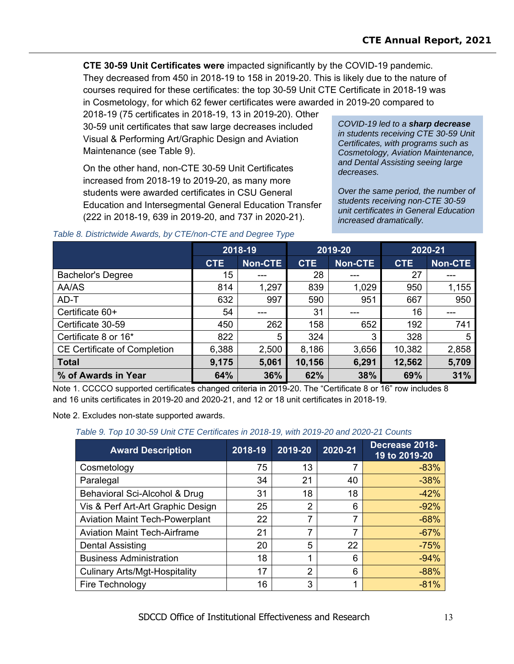**CTE 30-59 Unit Certificates were** impacted significantly by the COVID-19 pandemic. They decreased from 450 in 2018-19 to 158 in 2019-20. This is likely due to the nature of courses required for these certificates: the top 30-59 Unit CTE Certificate in 2018-19 was in Cosmetology, for which 62 fewer certificates were awarded in 2019-20 compared to

2018-19 (75 certificates in 2018-19, 13 in 2019-20). Other 30-59 unit certificates that saw large decreases included Visual & Performing Art/Graphic Design and Aviation Maintenance (see Table 9).

On the other hand, non-CTE 30-59 Unit Certificates increased from 2018-19 to 2019-20, as many more students were awarded certificates in CSU General Education and Intersegmental General Education Transfer (222 in 2018-19, 639 in 2019-20, and 737 in 2020-21).

*COVID-19 led to a sharp decrease in students receiving CTE 30-59 Unit Certificates, with programs such as Cosmetology, Aviation Maintenance, and Dental Assisting seeing large decreases.* 

*Over the same period, the number of students receiving non-CTE 30-59 unit certificates in General Education increased dramatically.* 

|                                     | 2018-19    |         | 2019-20    |                | 2020-21    |                |
|-------------------------------------|------------|---------|------------|----------------|------------|----------------|
|                                     | <b>CTE</b> | Non-CTE | <b>CTE</b> | <b>Non-CTE</b> | <b>CTE</b> | <b>Non-CTE</b> |
| <b>Bachelor's Degree</b>            | 15         | ---     | 28         | ---            | 27         | ---            |
| AA/AS                               | 814        | 1,297   | 839        | 1,029          | 950        | 1,155          |
| AD-T                                | 632        | 997     | 590        | 951            | 667        | 950            |
| Certificate 60+                     | 54         | ---     | 31         |                | 16         | ---            |
| Certificate 30-59                   | 450        | 262     | 158        | 652            | 192        | 741            |
| Certificate 8 or 16*                | 822        | 5       | 324        | 3              | 328        | 5              |
| <b>CE Certificate of Completion</b> | 6,388      | 2,500   | 8,186      | 3,656          | 10,382     | 2,858          |
| <b>Total</b>                        | 9,175      | 5,061   | 10,156     | 6,291          | 12,562     | 5,709          |
| % of Awards in Year                 | 64%        | 36%     | 62%        | 38%            | 69%        | 31%            |

#### *Table 8. Districtwide Awards, by CTE/non-CTE and Degree Type*

Note 1. CCCCO supported certificates changed criteria in 2019-20. The "Certificate 8 or 16" row includes 8 and 16 units certificates in 2019-20 and 2020-21, and 12 or 18 unit certificates in 2018-19.

Note 2. Excludes non-state supported awards.

#### *Table 9. Top 10 30-59 Unit CTE Certificates in 2018-19, with 2019-20 and 2020-21 Counts*

| <b>Award Description</b>              | 2018-19 | 2019-20 | 2020-21 | Decrease 2018-<br>19 to 2019-20 |
|---------------------------------------|---------|---------|---------|---------------------------------|
| Cosmetology                           | 75      | 13      |         | $-83%$                          |
| Paralegal                             | 34      | 21      | 40      | $-38%$                          |
| Behavioral Sci-Alcohol & Drug         | 31      | 18      | 18      | $-42%$                          |
| Vis & Perf Art-Art Graphic Design     | 25      | 2       | 6       | $-92%$                          |
| <b>Aviation Maint Tech-Powerplant</b> | 22      | 7       | 7       | $-68%$                          |
| <b>Aviation Maint Tech-Airframe</b>   | 21      | 7       | 7       | $-67%$                          |
| <b>Dental Assisting</b>               | 20      | 5       | 22      | $-75%$                          |
| <b>Business Administration</b>        | 18      | 1       | 6       | $-94%$                          |
| <b>Culinary Arts/Mgt-Hospitality</b>  | 17      | 2       | 6       | $-88%$                          |
| Fire Technology                       | 16      | 3       |         | $-81%$                          |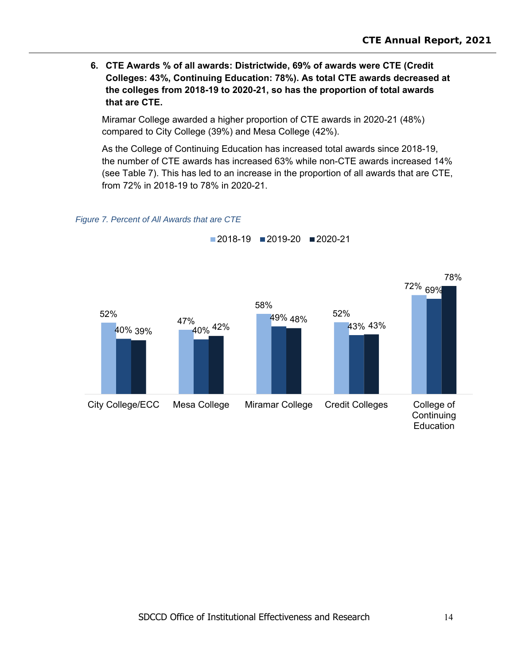**6. CTE Awards % of all awards: Districtwide, 69% of awards were CTE (Credit Colleges: 43%, Continuing Education: 78%). As total CTE awards decreased at the colleges from 2018-19 to 2020-21, so has the proportion of total awards that are CTE.**

Miramar College awarded a higher proportion of CTE awards in 2020-21 (48%) compared to City College (39%) and Mesa College (42%).

As the College of Continuing Education has increased total awards since 2018-19, the number of CTE awards has increased 63% while non-CTE awards increased 14% (see Table 7). This has led to an increase in the proportion of all awards that are CTE, from 72% in 2018-19 to 78% in 2020-21.

#### *Figure 7. Percent of All Awards that are CTE*



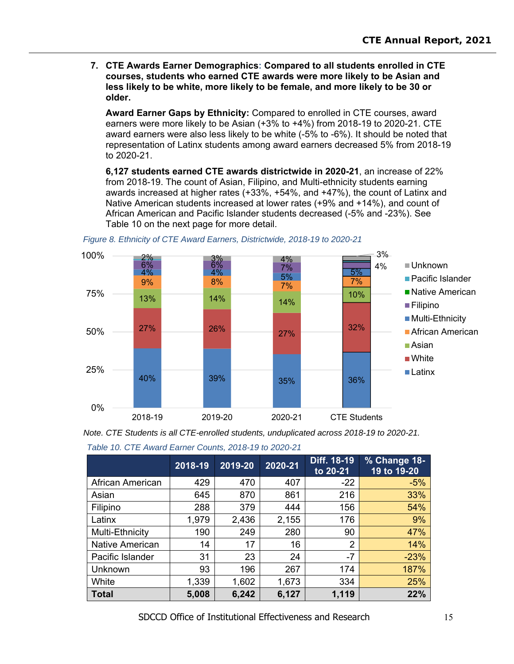**7. CTE Awards Earner Demographics: Compared to all students enrolled in CTE courses, students who earned CTE awards were more likely to be Asian and less likely to be white, more likely to be female, and more likely to be 30 or older.** 

**Award Earner Gaps by Ethnicity:** Compared to enrolled in CTE courses, award earners were more likely to be Asian (+3% to +4%) from 2018-19 to 2020-21. CTE award earners were also less likely to be white (-5% to -6%). It should be noted that representation of Latinx students among award earners decreased 5% from 2018-19 to 2020-21.

**6,127 students earned CTE awards districtwide in 2020-21**, an increase of 22% from 2018-19. The count of Asian, Filipino, and Multi-ethnicity students earning awards increased at higher rates (+33%, +54%, and +47%), the count of Latinx and Native American students increased at lower rates (+9% and +14%), and count of African American and Pacific Islander students decreased (-5% and -23%). See Table 10 on the next page for more detail.



*Figure 8. Ethnicity of CTE Award Earners, Districtwide, 2018-19 to 2020-21* 

*Note. CTE Students is all CTE-enrolled students, unduplicated across 2018-19 to 2020-21.* 

|  |  |  | Table 10. CTE Award Earner Counts, 2018-19 to 2020-21 |  |
|--|--|--|-------------------------------------------------------|--|
|  |  |  |                                                       |  |

|                        | 2018-19 | 2019-20 | 2020-21 | Diff. 18-19<br>to 20-21 | % Change 18-<br>19 to 19-20 |
|------------------------|---------|---------|---------|-------------------------|-----------------------------|
| African American       | 429     | 470     | 407     | $-22$                   | $-5%$                       |
| Asian                  | 645     | 870     | 861     | 216                     | 33%                         |
| Filipino               | 288     | 379     | 444     | 156                     | 54%                         |
| Latinx                 | 1,979   | 2,436   | 2,155   | 176                     | 9%                          |
| Multi-Ethnicity        | 190     | 249     | 280     | 90                      | 47%                         |
| <b>Native American</b> | 14      | 17      | 16      | 2                       | 14%                         |
| Pacific Islander       | 31      | 23      | 24      | $-7$                    | $-23%$                      |
| Unknown                | 93      | 196     | 267     | 174                     | 187%                        |
| White                  | 1,339   | 1,602   | 1,673   | 334                     | 25%                         |
| <b>Total</b>           | 5,008   | 6,242   | 6,127   | 1,119                   | 22%                         |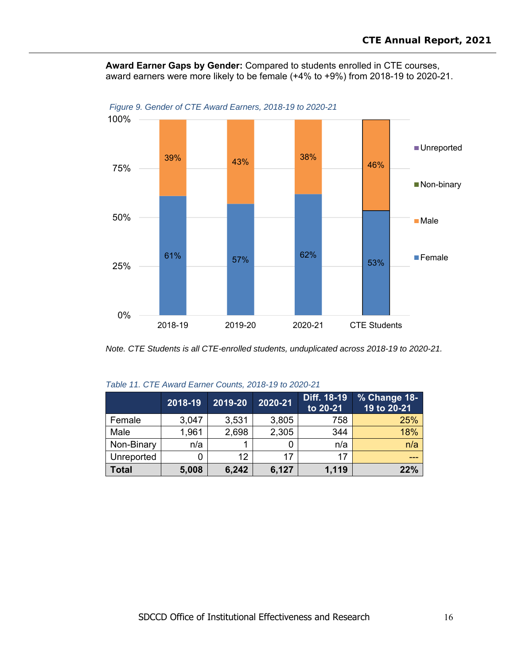**Award Earner Gaps by Gender:** Compared to students enrolled in CTE courses, award earners were more likely to be female (+4% to +9%) from 2018-19 to 2020-21.



*Figure 9. Gender of CTE Award Earners, 2018-19 to 2020-21* 

*Note. CTE Students is all CTE-enrolled students, unduplicated across 2018-19 to 2020-21.* 

|            | 2018-19 | 2019-20 | 2020-21 | Diff. 18-19<br>to 20-21 | % Change 18-<br>19 to 20-21 |
|------------|---------|---------|---------|-------------------------|-----------------------------|
| Female     | 3,047   | 3,531   | 3,805   | 758                     | 25%                         |
| Male       | 1,961   | 2,698   | 2,305   | 344                     | 18%                         |
| Non-Binary | n/a     |         |         | n/a                     | n/a                         |
| Unreported |         | 12      | 17      | 17                      |                             |
| Total      | 5,008   | 6,242   | 6,127   | 1,119                   | 22%                         |

|  | Table 11. CTE Award Earner Counts, 2018-19 to 2020-21 |  |
|--|-------------------------------------------------------|--|
|  |                                                       |  |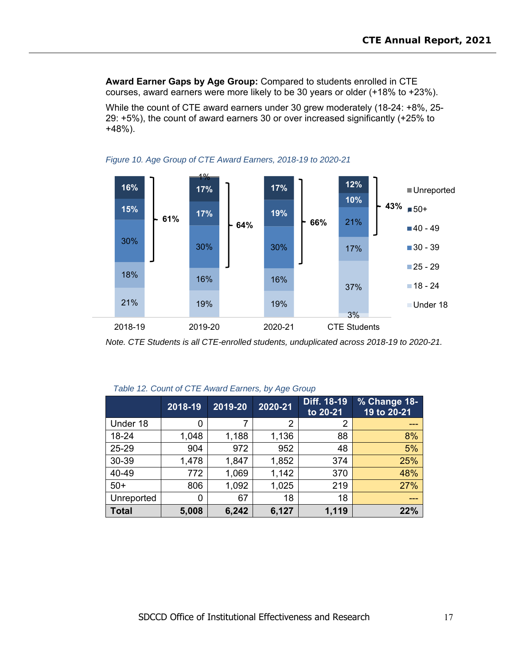**Award Earner Gaps by Age Group:** Compared to students enrolled in CTE courses, award earners were more likely to be 30 years or older (+18% to +23%).

While the count of CTE award earners under 30 grew moderately (18-24: +8%, 25- 29: +5%), the count of award earners 30 or over increased significantly (+25% to +48%).





*Note. CTE Students is all CTE-enrolled students, unduplicated across 2018-19 to 2020-21.* 

|              | 2018-19 | 2019-20 | 2020-21 | Diff. 18-19<br>to 20-21 | % Change 18-<br>19 to 20-21 |
|--------------|---------|---------|---------|-------------------------|-----------------------------|
| Under 18     | 0       |         | 2       | 2                       |                             |
| 18-24        | 1,048   | 1,188   | 1,136   | 88                      | 8%                          |
| 25-29        | 904     | 972     | 952     | 48                      | 5%                          |
| 30-39        | 1,478   | 1,847   | 1,852   | 374                     | 25%                         |
| 40-49        | 772     | 1,069   | 1,142   | 370                     | 48%                         |
| $50+$        | 806     | 1,092   | 1,025   | 219                     | 27%                         |
| Unreported   | 0       | 67      | 18      | 18                      | ---                         |
| <b>Total</b> | 5,008   | 6,242   | 6,127   | 1,119                   | 22%                         |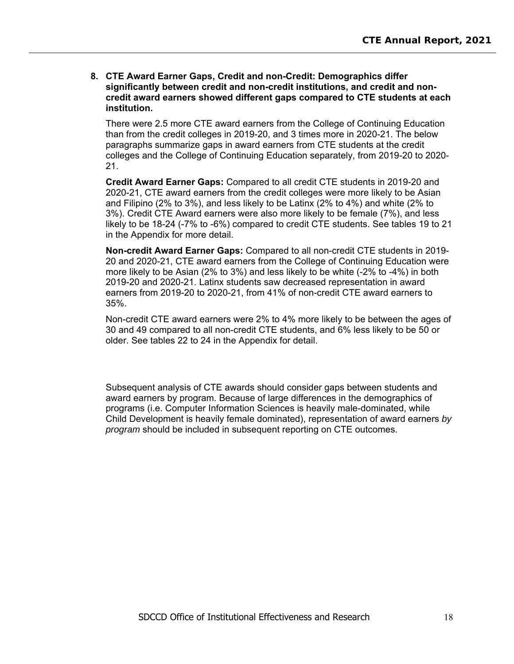**8. CTE Award Earner Gaps, Credit and non-Credit: Demographics differ significantly between credit and non-credit institutions, and credit and noncredit award earners showed different gaps compared to CTE students at each institution.** 

There were 2.5 more CTE award earners from the College of Continuing Education than from the credit colleges in 2019-20, and 3 times more in 2020-21. The below paragraphs summarize gaps in award earners from CTE students at the credit colleges and the College of Continuing Education separately, from 2019-20 to 2020- 21.

**Credit Award Earner Gaps:** Compared to all credit CTE students in 2019-20 and 2020-21, CTE award earners from the credit colleges were more likely to be Asian and Filipino (2% to 3%), and less likely to be Latinx (2% to 4%) and white (2% to 3%). Credit CTE Award earners were also more likely to be female (7%), and less likely to be 18-24 (-7% to -6%) compared to credit CTE students. See tables 19 to 21 in the Appendix for more detail.

**Non-credit Award Earner Gaps:** Compared to all non-credit CTE students in 2019- 20 and 2020-21, CTE award earners from the College of Continuing Education were more likely to be Asian (2% to 3%) and less likely to be white (-2% to -4%) in both 2019-20 and 2020-21. Latinx students saw decreased representation in award earners from 2019-20 to 2020-21, from 41% of non-credit CTE award earners to 35%.

Non-credit CTE award earners were 2% to 4% more likely to be between the ages of 30 and 49 compared to all non-credit CTE students, and 6% less likely to be 50 or older. See tables 22 to 24 in the Appendix for detail.

Subsequent analysis of CTE awards should consider gaps between students and award earners by program. Because of large differences in the demographics of programs (i.e. Computer Information Sciences is heavily male-dominated, while Child Development is heavily female dominated), representation of award earners *by program* should be included in subsequent reporting on CTE outcomes.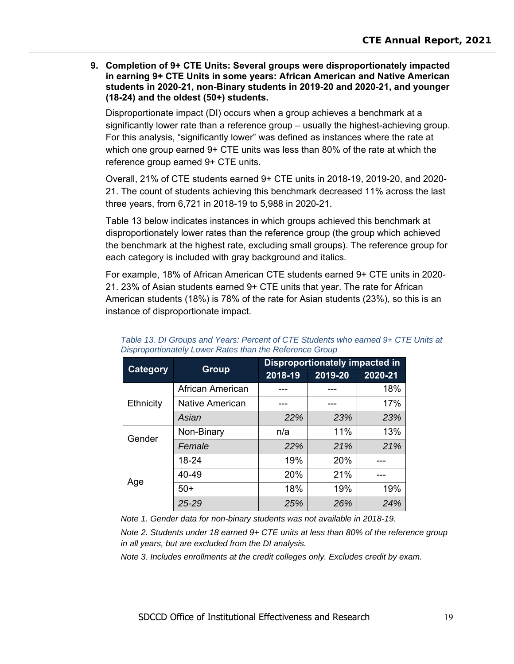**9. Completion of 9+ CTE Units: Several groups were disproportionately impacted in earning 9+ CTE Units in some years: African American and Native American students in 2020-21, non-Binary students in 2019-20 and 2020-21, and younger (18-24) and the oldest (50+) students.** 

Disproportionate impact (DI) occurs when a group achieves a benchmark at a significantly lower rate than a reference group – usually the highest-achieving group. For this analysis, "significantly lower" was defined as instances where the rate at which one group earned 9+ CTE units was less than 80% of the rate at which the reference group earned 9+ CTE units.

Overall, 21% of CTE students earned 9+ CTE units in 2018-19, 2019-20, and 2020- 21. The count of students achieving this benchmark decreased 11% across the last three years, from 6,721 in 2018-19 to 5,988 in 2020-21.

Table 13 below indicates instances in which groups achieved this benchmark at disproportionately lower rates than the reference group (the group which achieved the benchmark at the highest rate, excluding small groups). The reference group for each category is included with gray background and italics.

For example, 18% of African American CTE students earned 9+ CTE units in 2020- 21. 23% of Asian students earned 9+ CTE units that year. The rate for African American students (18%) is 78% of the rate for Asian students (23%), so this is an instance of disproportionate impact.

| Category  | <b>Group</b>     | <b>Disproportionately impacted in</b> |         |         |  |
|-----------|------------------|---------------------------------------|---------|---------|--|
|           |                  | 2018-19                               | 2019-20 | 2020-21 |  |
|           | African American |                                       |         | 18%     |  |
| Ethnicity | Native American  |                                       |         | 17%     |  |
|           | Asian            | 22%                                   | 23%     | 23%     |  |
| Gender    | Non-Binary       | n/a                                   | 11%     | 13%     |  |
|           | Female           | 22%                                   | 21%     | 21%     |  |
|           | 18-24            | 19%                                   | 20%     |         |  |
| Age       | 40-49            | 20%                                   | 21%     |         |  |
|           | $50+$            | 18%                                   | 19%     | 19%     |  |
|           | 25-29            | 25%                                   | 26%     | 24%     |  |

Table 13. DI Groups and Years: Percent of CTE Students who earned 9+ CTE Units at *Disproportionately Lower Rates than the Reference Group* 

*Note 1. Gender data for non-binary students was not available in 2018-19.* 

*Note 2. Students under 18 earned 9+ CTE units at less than 80% of the reference group in all years, but are excluded from the DI analysis.* 

*Note 3. Includes enrollments at the credit colleges only. Excludes credit by exam.*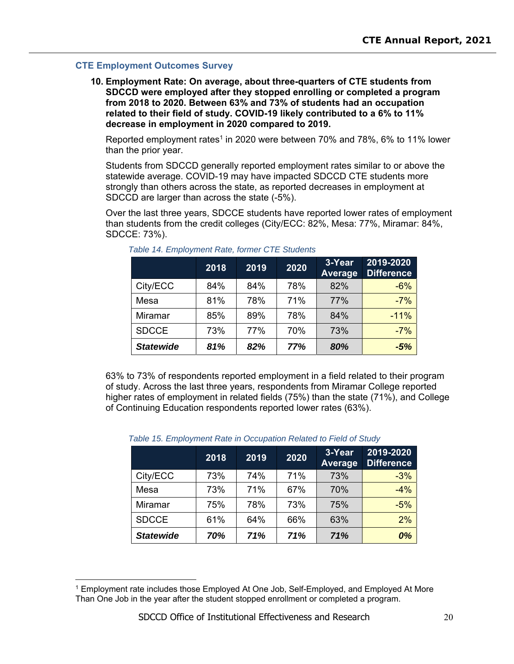#### **CTE Employment Outcomes Survey**

 $\overline{a}$ 

**10. Employment Rate: On average, about three-quarters of CTE students from SDCCD were employed after they stopped enrolling or completed a program from 2018 to 2020. Between 63% and 73% of students had an occupation related to their field of study. COVID-19 likely contributed to a 6% to 11% decrease in employment in 2020 compared to 2019.** 

Reported employment rates<sup>1</sup> in 2020 were between 70% and 78%, 6% to 11% lower than the prior year.

Students from SDCCD generally reported employment rates similar to or above the statewide average. COVID-19 may have impacted SDCCD CTE students more strongly than others across the state, as reported decreases in employment at SDCCD are larger than across the state (-5%).

Over the last three years, SDCCE students have reported lower rates of employment than students from the credit colleges (City/ECC: 82%, Mesa: 77%, Miramar: 84%, SDCCE: 73%).

|                  | 2018 | 2019 | 2020 | 3-Year<br>Average | 2019-2020<br><b>Difference</b> |
|------------------|------|------|------|-------------------|--------------------------------|
| City/ECC         | 84%  | 84%  | 78%  | 82%               | $-6%$                          |
| Mesa             | 81%  | 78%  | 71%  | 77%               | $-7%$                          |
| Miramar          | 85%  | 89%  | 78%  | 84%               | $-11%$                         |
| <b>SDCCE</b>     | 73%  | 77%  | 70%  | 73%               | $-7%$                          |
| <b>Statewide</b> | 81%  | 82%  | 77%  | 80%               | $-5%$                          |

*Table 14. Employment Rate, former CTE Students* 

63% to 73% of respondents reported employment in a field related to their program of study. Across the last three years, respondents from Miramar College reported higher rates of employment in related fields (75%) than the state (71%), and College of Continuing Education respondents reported lower rates (63%).

|                  | 2018 | 2019 | 2020 | 3-Year<br><b>Average</b> | 2019-2020<br><b>Difference</b> |
|------------------|------|------|------|--------------------------|--------------------------------|
| City/ECC         | 73%  | 74%  | 71%  | 73%                      | $-3%$                          |
| Mesa             | 73%  | 71%  | 67%  | 70%                      | $-4%$                          |
| Miramar          | 75%  | 78%  | 73%  | 75%                      | $-5%$                          |
| <b>SDCCE</b>     | 61%  | 64%  | 66%  | 63%                      | 2%                             |
| <b>Statewide</b> | 70%  | 71%  | 71%  | 71%                      | 0%                             |

#### *Table 15. Employment Rate in Occupation Related to Field of Study*

<sup>1</sup> Employment rate includes those Employed At One Job, Self-Employed, and Employed At More Than One Job in the year after the student stopped enrollment or completed a program.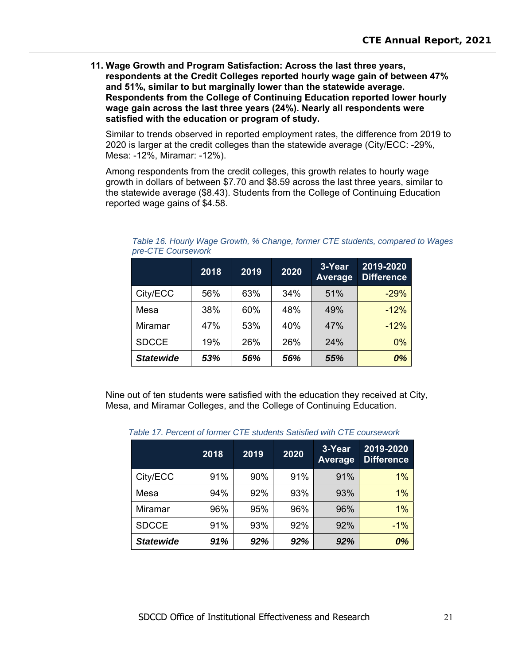**11. Wage Growth and Program Satisfaction: Across the last three years, respondents at the Credit Colleges reported hourly wage gain of between 47% and 51%, similar to but marginally lower than the statewide average. Respondents from the College of Continuing Education reported lower hourly wage gain across the last three years (24%). Nearly all respondents were satisfied with the education or program of study.** 

Similar to trends observed in reported employment rates, the difference from 2019 to 2020 is larger at the credit colleges than the statewide average (City/ECC: -29%, Mesa: -12%, Miramar: -12%).

Among respondents from the credit colleges, this growth relates to hourly wage growth in dollars of between \$7.70 and \$8.59 across the last three years, similar to the statewide average (\$8.43). Students from the College of Continuing Education reported wage gains of \$4.58.

|                  | 2018 | 2019 | 2020 | 3-Year<br><b>Average</b> | 2019-2020<br><b>Difference</b> |
|------------------|------|------|------|--------------------------|--------------------------------|
| City/ECC         | 56%  | 63%  | 34%  | 51%                      | $-29%$                         |
| Mesa             | 38%  | 60%  | 48%  | 49%                      | $-12%$                         |
| Miramar          | 47%  | 53%  | 40%  | 47%                      | $-12%$                         |
| <b>SDCCE</b>     | 19%  | 26%  | 26%  | 24%                      | $0\%$                          |
| <b>Statewide</b> | 53%  | 56%  | 56%  | 55%                      | 0%                             |

*Table 16. Hourly Wage Growth, % Change, former CTE students, compared to Wages pre-CTE Coursework* 

Nine out of ten students were satisfied with the education they received at City, Mesa, and Miramar Colleges, and the College of Continuing Education.

| TAMG TI. FGIVGIILUI IUIIIIGI UTE SUUGIIUS OAUSIIGU WIIII UTE COUISGWOIN |      |      |      |                          |                                |  |
|-------------------------------------------------------------------------|------|------|------|--------------------------|--------------------------------|--|
|                                                                         | 2018 | 2019 | 2020 | 3-Year<br><b>Average</b> | 2019-2020<br><b>Difference</b> |  |
| City/ECC                                                                | 91%  | 90%  | 91%  | 91%                      | 1%                             |  |
| Mesa                                                                    | 94%  | 92%  | 93%  | 93%                      | 1%                             |  |
| <b>Miramar</b>                                                          | 96%  | 95%  | 96%  | 96%                      | $1\%$                          |  |
| <b>SDCCE</b>                                                            | 91%  | 93%  | 92%  | 92%                      | $-1%$                          |  |
| <b>Statewide</b>                                                        | 91%  | 92%  | 92%  | 92%                      | 0%                             |  |

*Table 17. Percent of former CTE students Satisfied with CTE coursework*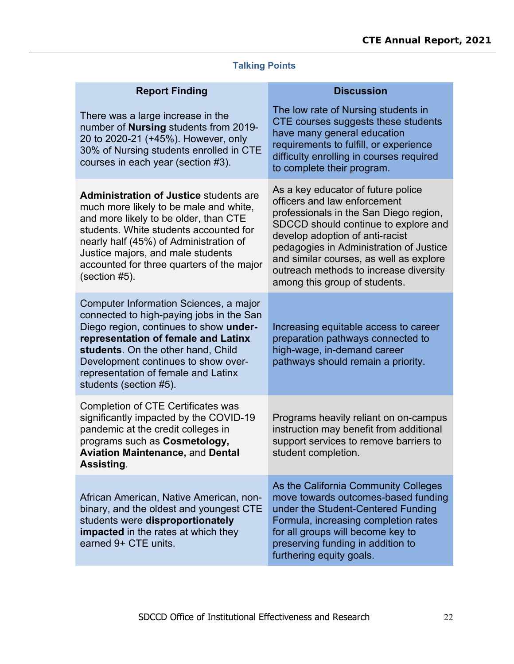# **Talking Points**

| <b>Report Finding</b>                                                                                                                                                                                                                                                                                                      | <b>Discussion</b>                                                                                                                                                                                                                                                                                                                                        |
|----------------------------------------------------------------------------------------------------------------------------------------------------------------------------------------------------------------------------------------------------------------------------------------------------------------------------|----------------------------------------------------------------------------------------------------------------------------------------------------------------------------------------------------------------------------------------------------------------------------------------------------------------------------------------------------------|
| There was a large increase in the<br>number of <b>Nursing</b> students from 2019-<br>20 to 2020-21 (+45%). However, only<br>30% of Nursing students enrolled in CTE<br>courses in each year (section #3).                                                                                                                  | The low rate of Nursing students in<br>CTE courses suggests these students<br>have many general education<br>requirements to fulfill, or experience<br>difficulty enrolling in courses required<br>to complete their program.                                                                                                                            |
| <b>Administration of Justice students are</b><br>much more likely to be male and white,<br>and more likely to be older, than CTE<br>students. White students accounted for<br>nearly half (45%) of Administration of<br>Justice majors, and male students<br>accounted for three quarters of the major<br>$(section #5)$ . | As a key educator of future police<br>officers and law enforcement<br>professionals in the San Diego region,<br>SDCCD should continue to explore and<br>develop adoption of anti-racist<br>pedagogies in Administration of Justice<br>and similar courses, as well as explore<br>outreach methods to increase diversity<br>among this group of students. |
| Computer Information Sciences, a major<br>connected to high-paying jobs in the San<br>Diego region, continues to show under-<br>representation of female and Latinx<br>students. On the other hand, Child<br>Development continues to show over-<br>representation of female and Latinx<br>students (section #5).          | Increasing equitable access to career<br>preparation pathways connected to<br>high-wage, in-demand career<br>pathways should remain a priority.                                                                                                                                                                                                          |
| <b>Completion of CTE Certificates was</b><br>significantly impacted by the COVID-19<br>pandemic at the credit colleges in<br>programs such as Cosmetology,<br><b>Aviation Maintenance, and Dental</b><br>Assisting.                                                                                                        | Programs heavily reliant on on-campus<br>instruction may benefit from additional<br>support services to remove barriers to<br>student completion.                                                                                                                                                                                                        |
| African American, Native American, non-<br>binary, and the oldest and youngest CTE<br>students were disproportionately<br><b>impacted</b> in the rates at which they<br>earned 9+ CTE units.                                                                                                                               | As the California Community Colleges<br>move towards outcomes-based funding<br>under the Student-Centered Funding<br>Formula, increasing completion rates<br>for all groups will become key to<br>preserving funding in addition to<br>furthering equity goals.                                                                                          |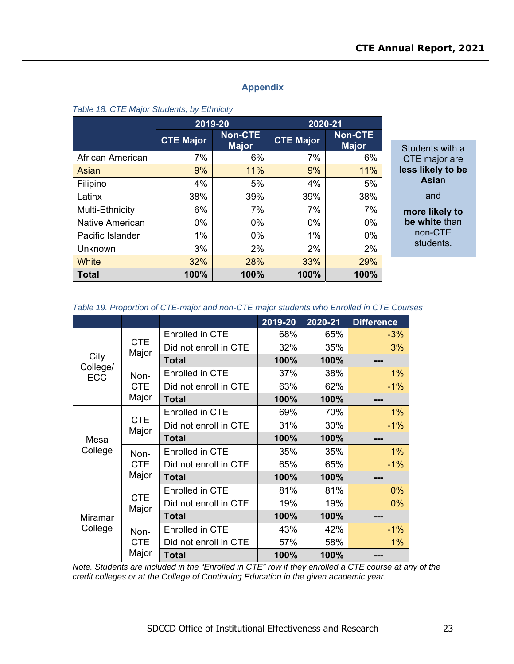#### **Appendix**

#### *Table 18. CTE Major Students, by Ethnicity*

|                        | 2019-20          |                                | 2020-21          |                                |
|------------------------|------------------|--------------------------------|------------------|--------------------------------|
|                        | <b>CTE Major</b> | <b>Non-CTE</b><br><b>Major</b> | <b>CTE Major</b> | <b>Non-CTE</b><br><b>Major</b> |
| African American       | 7%               | 6%                             | 7%               | 6%                             |
| Asian                  | 9%               | 11%                            | 9%               | 11%                            |
| Filipino               | 4%               | 5%                             | 4%               | 5%                             |
| Latinx                 | 38%              | 39%                            | 39%              | 38%                            |
| Multi-Ethnicity        | 6%               | 7%                             | 7%               | 7%                             |
| <b>Native American</b> | $0\%$            | $0\%$                          | $0\%$            | 0%                             |
| Pacific Islander       | 1%               | $0\%$                          | 1%               | 0%                             |
| Unknown                | 3%               | 2%                             | 2%               | 2%                             |
| <b>White</b>           | 32%              | 28%                            | 33%              | 29%                            |
| <b>Total</b>           | 100%             | 100%                           | 100%             | 100%                           |

Students with a CTE major are **less likely to be Asia**n and **more likely to be white** than non-CTE students.

#### *Table 19. Proportion of CTE-major and non-CTE major students who Enrolled in CTE Courses*

|                  |                     |                        | 2019-20 | 2020-21 | <b>Difference</b> |
|------------------|---------------------|------------------------|---------|---------|-------------------|
|                  |                     | Enrolled in CTE        | 68%     | 65%     | $-3%$             |
|                  | <b>CTE</b><br>Major | Did not enroll in CTE  | 32%     | 35%     | 3%                |
| City<br>College/ |                     | <b>Total</b>           | 100%    | 100%    |                   |
| <b>ECC</b>       | Non-                | Enrolled in CTE        | 37%     | 38%     | 1%                |
|                  | <b>CTE</b>          | Did not enroll in CTE  | 63%     | 62%     | $-1%$             |
|                  | Major               | <b>Total</b>           | 100%    | 100%    |                   |
|                  |                     | Enrolled in CTE        | 69%     | 70%     | 1%                |
|                  | <b>CTE</b><br>Major | Did not enroll in CTE  | 31%     | 30%     | $-1\%$            |
| Mesa             |                     | <b>Total</b>           | 100%    | 100%    |                   |
| College          | Non-                | <b>Enrolled in CTE</b> | 35%     | 35%     | 1%                |
|                  | <b>CTE</b>          | Did not enroll in CTE  | 65%     | 65%     | $-1%$             |
|                  | Major               | <b>Total</b>           | 100%    | 100%    | ---               |
|                  |                     | Enrolled in CTE        | 81%     | 81%     | 0%                |
|                  | <b>CTE</b><br>Major | Did not enroll in CTE  | 19%     | 19%     | 0%                |
| Miramar          |                     | <b>Total</b>           | 100%    | 100%    |                   |
| College          | Non-                | <b>Enrolled in CTE</b> | 43%     | 42%     | $-1%$             |
|                  | <b>CTE</b>          | Did not enroll in CTE  | 57%     | 58%     | 1%                |
|                  | Major               | <b>Total</b>           | 100%    | 100%    |                   |

*Note. Students are included in the "Enrolled in CTE" row if they enrolled a CTE course at any of the credit colleges or at the College of Continuing Education in the given academic year.*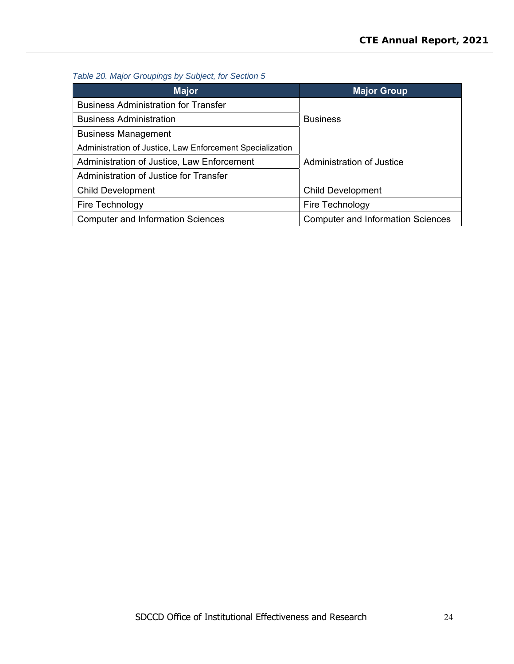## *Table 20. Major Groupings by Subject, for Section 5*

| <b>Major</b>                                              | <b>Major Group</b>                       |  |
|-----------------------------------------------------------|------------------------------------------|--|
| <b>Business Administration for Transfer</b>               |                                          |  |
| <b>Business Administration</b>                            | <b>Business</b>                          |  |
| <b>Business Management</b>                                |                                          |  |
| Administration of Justice, Law Enforcement Specialization |                                          |  |
| Administration of Justice, Law Enforcement                | Administration of Justice                |  |
| Administration of Justice for Transfer                    |                                          |  |
| <b>Child Development</b>                                  | <b>Child Development</b>                 |  |
| Fire Technology                                           | Fire Technology                          |  |
| <b>Computer and Information Sciences</b>                  | <b>Computer and Information Sciences</b> |  |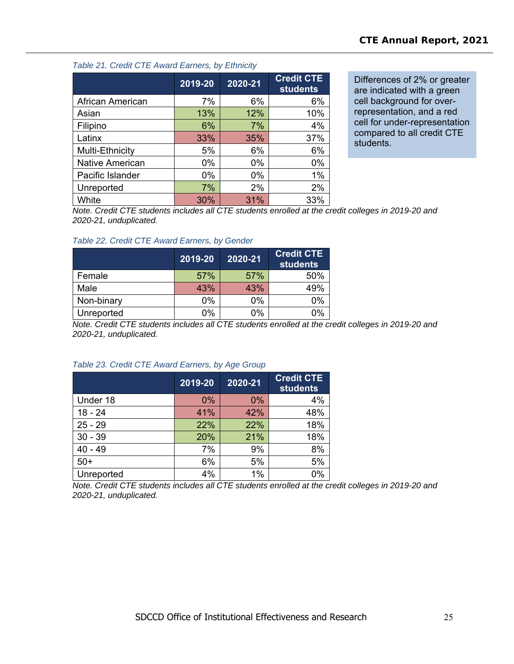#### *Table 21. Credit CTE Award Earners, by Ethnicity*

|                        | 2019-20 | 2020-21 | <b>Credit CTE</b><br>students |
|------------------------|---------|---------|-------------------------------|
| African American       | 7%      | 6%      | 6%                            |
| Asian                  | 13%     | 12%     | 10%                           |
| Filipino               | 6%      | 7%      | 4%                            |
| Latinx                 | 33%     | 35%     | 37%                           |
| Multi-Ethnicity        | 5%      | 6%      | 6%                            |
| <b>Native American</b> | 0%      | 0%      | 0%                            |
| Pacific Islander       | $0\%$   | 0%      | 1%                            |
| Unreported             | 7%      | 2%      | 2%                            |
| White                  | 30%     | 31%     | 33%                           |

Differences of 2% or greater are indicated with a green cell background for overrepresentation, and a red cell for under-representation compared to all credit CTE students.

*Note. Credit CTE students includes all CTE students enrolled at the credit colleges in 2019-20 and 2020-21, unduplicated.* 

#### *Table 22. Credit CTE Award Earners, by Gender*

|            | 2019-20 | 2020-21 | <b>Credit CTE</b><br><b>students</b> |
|------------|---------|---------|--------------------------------------|
| Female     | 57%     | 57%     | 50%                                  |
| Male       | 43%     | 43%     | 49%                                  |
| Non-binary | 0%      | 0%      | 0%                                   |
| Unreported | 0%      | 0%      | 0%                                   |

*Note. Credit CTE students includes all CTE students enrolled at the credit colleges in 2019-20 and 2020-21, unduplicated.* 

# **2019-20 2020-21 Credit CTE students**  Under 18 0% 0% 4% 18 - 24 1960 - 24 11% | 41% | 42% | 48% 25 - 29 22% 22% 18%

# *Table 23. Credit CTE Award Earners, by Age Group*

30 - 39 20% 21% 18% 40 - 49 7% 9% 8% 50+ 6% 5% 5% Unreported 1% 1% 0%

*Note. Credit CTE students includes all CTE students enrolled at the credit colleges in 2019-20 and 2020-21, unduplicated.*